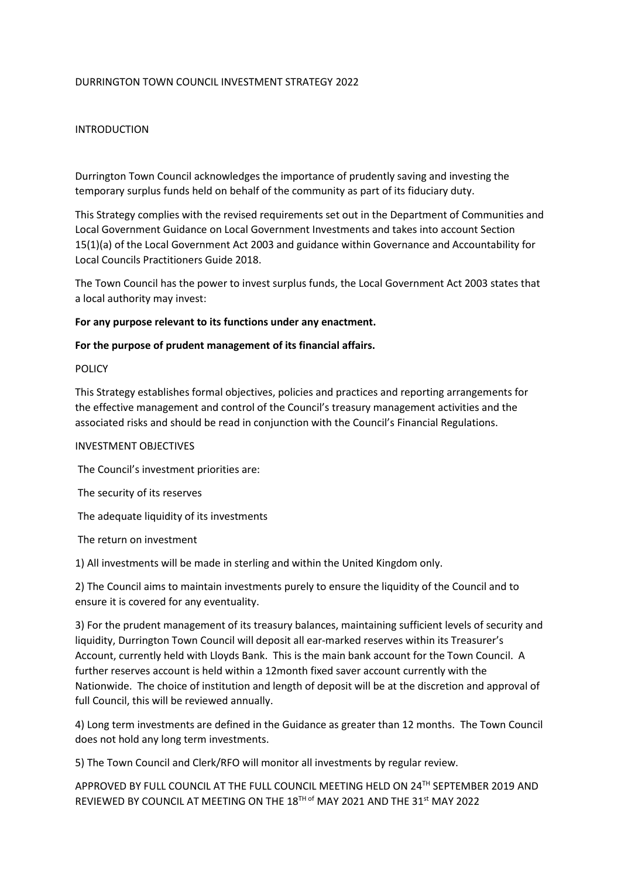# DURRINGTON TOWN COUNCIL INVESTMENT STRATEGY 2022

# INTRODUCTION

Durrington Town Council acknowledges the importance of prudently saving and investing the temporary surplus funds held on behalf of the community as part of its fiduciary duty.

This Strategy complies with the revised requirements set out in the Department of Communities and Local Government Guidance on Local Government Investments and takes into account Section 15(1)(a) of the Local Government Act 2003 and guidance within Governance and Accountability for Local Councils Practitioners Guide 2018.

The Town Council has the power to invest surplus funds, the Local Government Act 2003 states that a local authority may invest:

### **For any purpose relevant to its functions under any enactment.**

### **For the purpose of prudent management of its financial affairs.**

### **POLICY**

This Strategy establishes formal objectives, policies and practices and reporting arrangements for the effective management and control of the Council's treasury management activities and the associated risks and should be read in conjunction with the Council's Financial Regulations.

### INVESTMENT OBJECTIVES

The Council's investment priorities are:

The security of its reserves

The adequate liquidity of its investments

The return on investment

1) All investments will be made in sterling and within the United Kingdom only.

2) The Council aims to maintain investments purely to ensure the liquidity of the Council and to ensure it is covered for any eventuality.

3) For the prudent management of its treasury balances, maintaining sufficient levels of security and liquidity, Durrington Town Council will deposit all ear-marked reserves within its Treasurer's Account, currently held with Lloyds Bank. This is the main bank account for the Town Council. A further reserves account is held within a 12month fixed saver account currently with the Nationwide. The choice of institution and length of deposit will be at the discretion and approval of full Council, this will be reviewed annually.

4) Long term investments are defined in the Guidance as greater than 12 months. The Town Council does not hold any long term investments.

5) The Town Council and Clerk/RFO will monitor all investments by regular review.

APPROVED BY FULL COUNCIL AT THE FULL COUNCIL MEETING HELD ON 24TH SEPTEMBER 2019 AND REVIEWED BY COUNCIL AT MEETING ON THE 18<sup>TH of</sup> MAY 2021 AND THE 31<sup>st</sup> MAY 2022